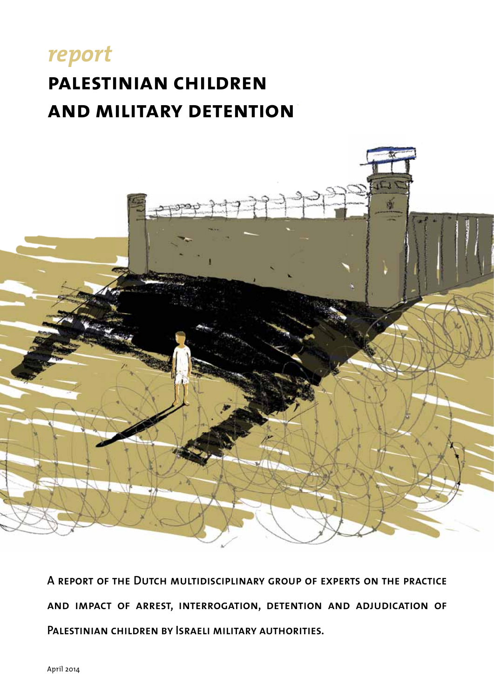## *report* **palestinian children and military detention**



**A report of the Dutch multidisciplinary group of experts on the practice and impact of arrest, interrogation, detention and adjudication of Palestinian children by Israeli military authorities.**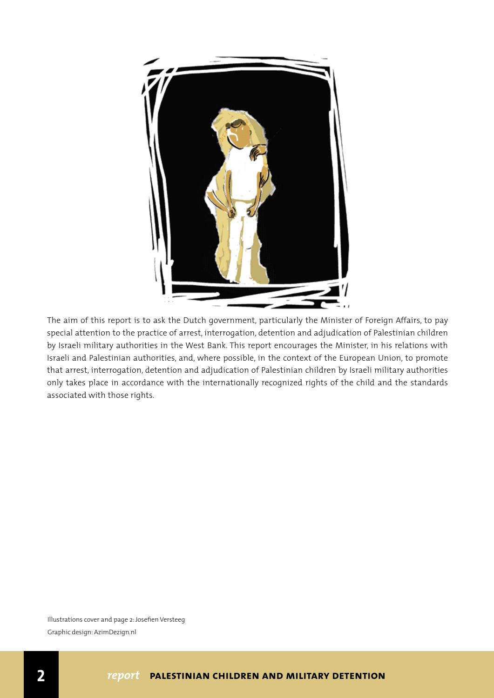

The aim of this report is to ask the Dutch government, particularly the Minister of Foreign Affairs, to pay special attention to the practice of arrest, interrogation, detention and adjudication of Palestinian children by Israeli military authorities in the West Bank. This report encourages the Minister, in his relations with Israeli and Palestinian authorities, and, where possible, in the context of the European Union, to promote that arrest, interrogation, detention and adjudication of Palestinian children by Israeli military authorities only takes place in accordance with the internationally recognized rights of the child and the standards associated with those rights.

Illustrations cover and page 2: Josefien Versteeg Graphic design: AzimDezign.nl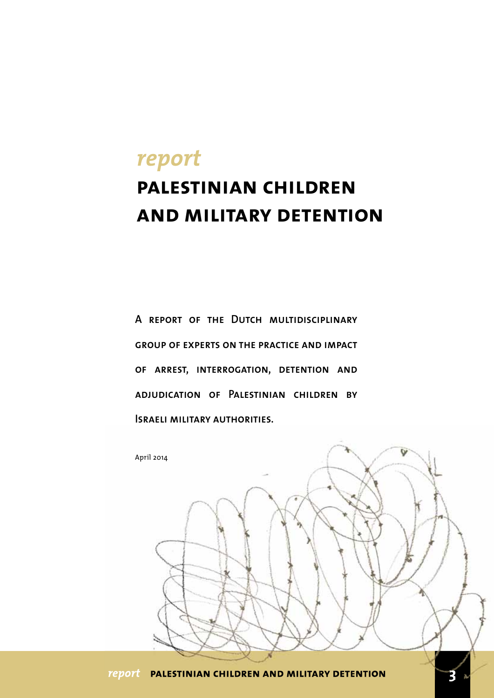# *report* **palestinian children and military detention**

**A report of the Dutch multidisciplinary group of experts on the practice and impact of arrest, interrogation, detention and adjudication of Palestinian children by Israeli military authorities.** 

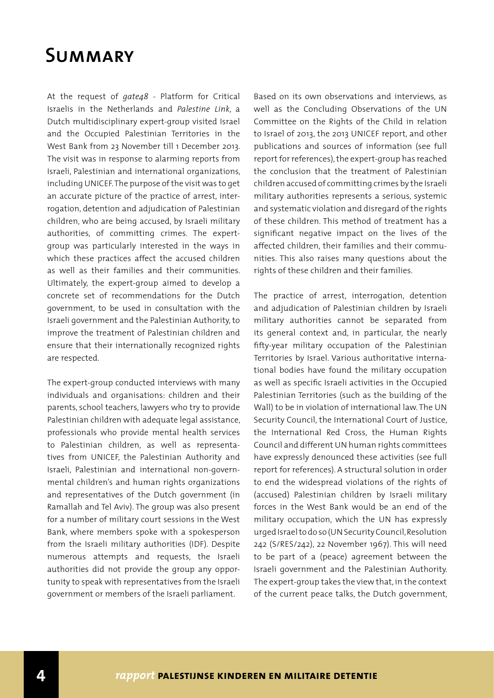### **Summary**

At the request of *gate48* - Platform for Critical Israelis in the Netherlands and *Palestine Link*, a Dutch multidisciplinary expert-group visited Israel and the Occupied Palestinian Territories in the West Bank from 23 November till 1 December 2013. The visit was in response to alarming reports from Israeli, Palestinian and international organizations, including UNICEF. The purpose of the visit was to get an accurate picture of the practice of arrest, interrogation, detention and adjudication of Palestinian children, who are being accused, by Israeli military authorities, of committing crimes. The expertgroup was particularly interested in the ways in which these practices affect the accused children as well as their families and their communities. Ultimately, the expert-group aimed to develop a concrete set of recommendations for the Dutch government, to be used in consultation with the Israeli government and the Palestinian Authority, to improve the treatment of Palestinian children and ensure that their internationally recognized rights are respected.

The expert-group conducted interviews with many individuals and organisations: children and their parents, school teachers, lawyers who try to provide Palestinian children with adequate legal assistance, professionals who provide mental health services to Palestinian children, as well as representatives from UNICEF, the Palestinian Authority and Israeli, Palestinian and international non-governmental children's and human rights organizations and representatives of the Dutch government (in Ramallah and Tel Aviv). The group was also present for a number of military court sessions in the West Bank, where members spoke with a spokesperson from the Israeli military authorities (IDF). Despite numerous attempts and requests, the Israeli authorities did not provide the group any opportunity to speak with representatives from the Israeli government or members of the Israeli parliament.

Based on its own observations and interviews, as well as the Concluding Observations of the UN Committee on the Rights of the Child in relation to Israel of 2013, the 2013 UNICEF report, and other publications and sources of information (see full report for references), the expert-group has reached the conclusion that the treatment of Palestinian children accused of committing crimes by the Israeli military authorities represents a serious, systemic and systematic violation and disregard of the rights of these children. This method of treatment has a significant negative impact on the lives of the affected children, their families and their communities. This also raises many questions about the rights of these children and their families.

The practice of arrest, interrogation, detention and adjudication of Palestinian children by Israeli military authorities cannot be separated from its general context and, in particular, the nearly fifty-year military occupation of the Palestinian Territories by Israel. Various authoritative international bodies have found the military occupation as well as specific Israeli activities in the Occupied Palestinian Territories (such as the building of the Wall) to be in violation of international law. The UN Security Council, the International Court of Justice, the International Red Cross, the Human Rights Council and different UN human rights committees have expressly denounced these activities (see full report for references). A structural solution in order to end the widespread violations of the rights of (accused) Palestinian children by Israeli military forces in the West Bank would be an end of the military occupation, which the UN has expressly urged Israel to do so (UN Security Council, Resolution 242 (S/RES/242), 22 November 1967). This will need to be part of a (peace) agreement between the Israeli government and the Palestinian Authority. The expert-group takes the view that, in the context of the current peace talks, the Dutch government,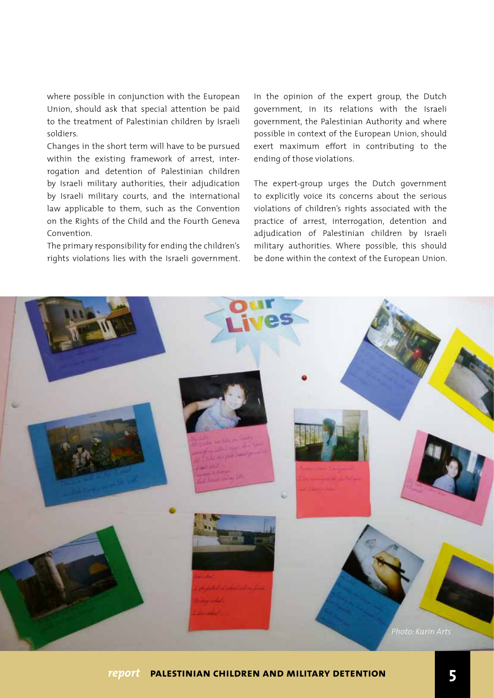where possible in conjunction with the European Union, should ask that special attention be paid to the treatment of Palestinian children by Israeli soldiers.

Changes in the short term will have to be pursued within the existing framework of arrest, interrogation and detention of Palestinian children by Israeli military authorities, their adjudication by Israeli military courts, and the international law applicable to them, such as the Convention on the Rights of the Child and the Fourth Geneva Convention.

The primary responsibility for ending the children's rights violations lies with the Israeli government. In the opinion of the expert group, the Dutch government, in its relations with the Israeli government, the Palestinian Authority and where possible in context of the European Union, should exert maximum effort in contributing to the ending of those violations.

The expert-group urges the Dutch government to explicitly voice its concerns about the serious violations of children's rights associated with the practice of arrest, interrogation, detention and adjudication of Palestinian children by Israeli military authorities. Where possible, this should be done within the context of the European Union.

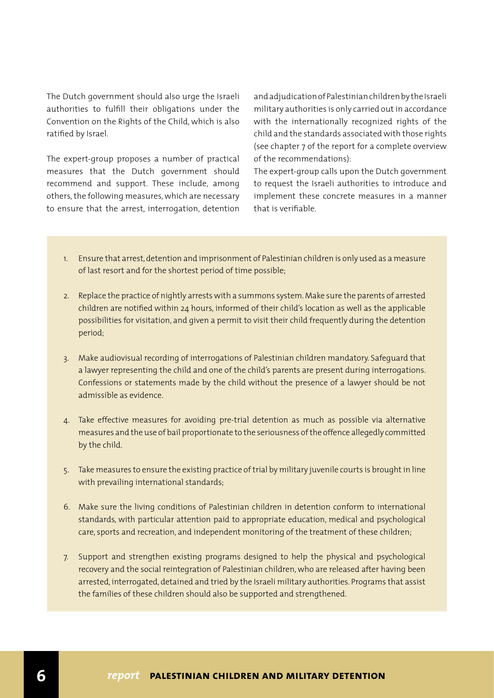The Dutch government should also urge the Israeli authorities to fulfill their obligations under the Convention on the Rights of the Child, which is also ratified by Israel.

The expert-group proposes a number of practical measures that the Dutch government should recommend and support. These include, among others, the following measures, which are necessary to ensure that the arrest, interrogation, detention and adjudication of Palestinian children by the Israeli military authorities is only carried out in accordance with the internationally recognized rights of the child and the standards associated with those rights (see chapter 7 of the report for a complete overview of the recommendations):

The expert-group calls upon the Dutch government to request the Israeli authorities to introduce and implement these concrete measures in a manner that is verifiable.

- 1. Ensure that arrest, detention and imprisonment of Palestinian children is only used as a measure of last resort and for the shortest period of time possible;
- 2. Replace the practice of nightly arrests with a summons system. Make sure the parents of arrested children are notified within 24 hours, informed of their child's location as well as the applicable possibilities for visitation, and given a permit to visit their child frequently during the detention period;
- 3. Make audiovisual recording of interrogations of Palestinian children mandatory. Safeguard that a lawyer representing the child and one of the child's parents are present during interrogations. Confessions or statements made by the child without the presence of a lawyer should be not admissible as evidence.
- 4. Take effective measures for avoiding pre-trial detention as much as possible via alternative measures and the use of bail proportionate to the seriousness of the offence allegedly committed by the child.
- 5. Take measures to ensure the existing practice of trial by military juvenile courts is brought in line with prevailing international standards;
- 6. Make sure the living conditions of Palestinian children in detention conform to international standards, with particular attention paid to appropriate education, medical and psychological care, sports and recreation, and independent monitoring of the treatment of these children;
- 7. Support and strengthen existing programs designed to help the physical and psychological recovery and the social reintegration of Palestinian children, who are released after having been arrested, interrogated, detained and tried by the Israeli military authorities. Programs that assist the families of these children should also be supported and strengthened.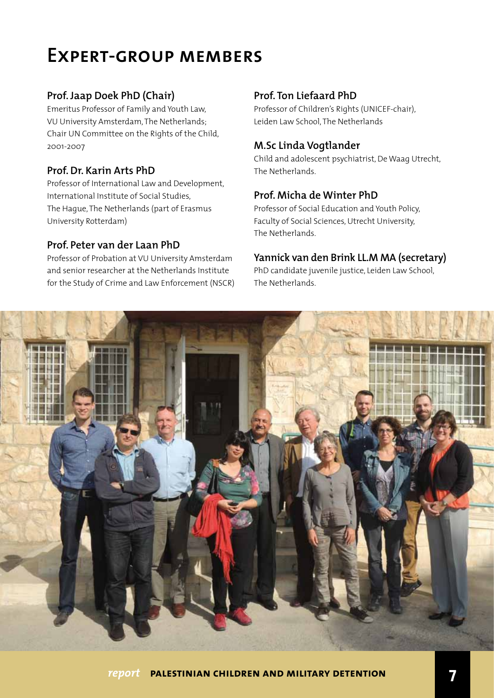## **Expert-group members**

#### **Prof. Jaap Doek PhD (Chair)**

Emeritus Professor of Family and Youth Law, VU University Amsterdam, The Netherlands; Chair UN Committee on the Rights of the Child, 2001-2007

#### **Prof. Dr. Karin Arts PhD**

Professor of International Law and Development, International Institute of Social Studies, The Hague, The Netherlands (part of Erasmus University Rotterdam)

#### **Prof. Peter van der Laan PhD**

Professor of Probation at VU University Amsterdam and senior researcher at the Netherlands Institute for the Study of Crime and Law Enforcement (NSCR)

#### **Prof. Ton Liefaard PhD**

Professor of Children's Rights (UNICEF-chair), Leiden Law School, The Netherlands

#### **M.Sc Linda Vogtlander**

Child and adolescent psychiatrist, De Waag Utrecht, The Netherlands.

#### **Prof. Micha de Winter PhD**

Professor of Social Education and Youth Policy, Faculty of Social Sciences, Utrecht University, The Netherlands.

#### **Yannick van den Brink LL.M MA (secretary)**

PhD candidate juvenile justice, Leiden Law School, The Netherlands.